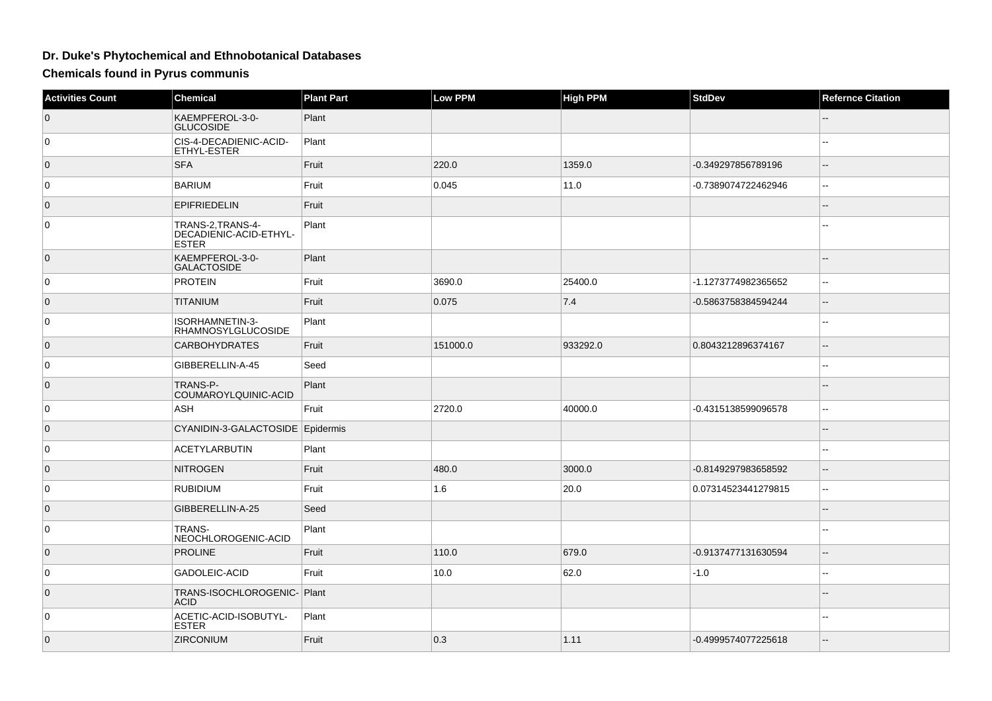## **Dr. Duke's Phytochemical and Ethnobotanical Databases**

**Chemicals found in Pyrus communis**

| <b>Activities Count</b> | <b>Chemical</b>                                            | <b>Plant Part</b> | <b>Low PPM</b> | <b>High PPM</b> | <b>StdDev</b>       | <b>Refernce Citation</b>                      |
|-------------------------|------------------------------------------------------------|-------------------|----------------|-----------------|---------------------|-----------------------------------------------|
| $\overline{0}$          | KAEMPFEROL-3-0-<br><b>GLUCOSIDE</b>                        | Plant             |                |                 |                     |                                               |
| 0                       | CIS-4-DECADIENIC-ACID-<br>ETHYL-ESTER                      | Plant             |                |                 |                     |                                               |
| $\overline{0}$          | <b>SFA</b>                                                 | Fruit             | 220.0          | 1359.0          | -0.349297856789196  | $-$                                           |
| 0                       | <b>BARIUM</b>                                              | Fruit             | 0.045          | 11.0            | -0.7389074722462946 | ۵.                                            |
| $\overline{0}$          | <b>EPIFRIEDELIN</b>                                        | Fruit             |                |                 |                     | --                                            |
| 0                       | TRANS-2.TRANS-4-<br>DECADIENIC-ACID-ETHYL-<br><b>ESTER</b> | Plant             |                |                 |                     |                                               |
| $\mathbf{0}$            | KAEMPFEROL-3-0-<br>GALACTOSIDE                             | Plant             |                |                 |                     | $-$                                           |
| $\mathbf 0$             | <b>PROTEIN</b>                                             | Fruit             | 3690.0         | 25400.0         | -1.1273774982365652 | Ξ.                                            |
| $\overline{0}$          | <b>TITANIUM</b>                                            | Fruit             | 0.075          | 7.4             | -0.5863758384594244 | $\mathord{\hspace{1pt}\text{--}\hspace{1pt}}$ |
| 0                       | ISORHAMNETIN-3-<br>RHAMNOSYLGLUCOSIDE                      | Plant             |                |                 |                     | ٠.                                            |
| $\overline{0}$          | <b>CARBOHYDRATES</b>                                       | Fruit             | 151000.0       | 933292.0        | 0.8043212896374167  | $\overline{a}$                                |
| $\mathbf 0$             | GIBBERELLIN-A-45                                           | Seed              |                |                 |                     | $\sim$                                        |
| $\overline{0}$          | TRANS-P-<br>COUMAROYLQUINIC-ACID                           | Plant             |                |                 |                     | --                                            |
| 0                       | <b>ASH</b>                                                 | Fruit             | 2720.0         | 40000.0         | -0.4315138599096578 | 44                                            |
| $\overline{0}$          | CYANIDIN-3-GALACTOSIDE Epidermis                           |                   |                |                 |                     |                                               |
| 0                       | <b>ACETYLARBUTIN</b>                                       | Plant             |                |                 |                     | --                                            |
| $\overline{0}$          | <b>NITROGEN</b>                                            | Fruit             | 480.0          | 3000.0          | -0.8149297983658592 | $\overline{\phantom{a}}$                      |
| 0                       | <b>RUBIDIUM</b>                                            | Fruit             | 1.6            | 20.0            | 0.07314523441279815 | $\sim$                                        |
| $\overline{0}$          | GIBBERELLIN-A-25                                           | Seed              |                |                 |                     |                                               |
| 0                       | TRANS-<br>NEOCHLOROGENIC-ACID                              | Plant             |                |                 |                     |                                               |
| $\mathbf{0}$            | <b>PROLINE</b>                                             | Fruit             | 110.0          | 679.0           | -0.9137477131630594 | $-$                                           |
| 0                       | GADOLEIC-ACID                                              | Fruit             | 10.0           | 62.0            | $-1.0$              | --                                            |
| $\overline{0}$          | TRANS-ISOCHLOROGENIC-Plant<br><b>ACID</b>                  |                   |                |                 |                     |                                               |
| 0                       | ACETIC-ACID-ISOBUTYL-<br><b>ESTER</b>                      | Plant             |                |                 |                     |                                               |
| $\overline{0}$          | <b>ZIRCONIUM</b>                                           | Fruit             | 0.3            | 1.11            | -0.4999574077225618 |                                               |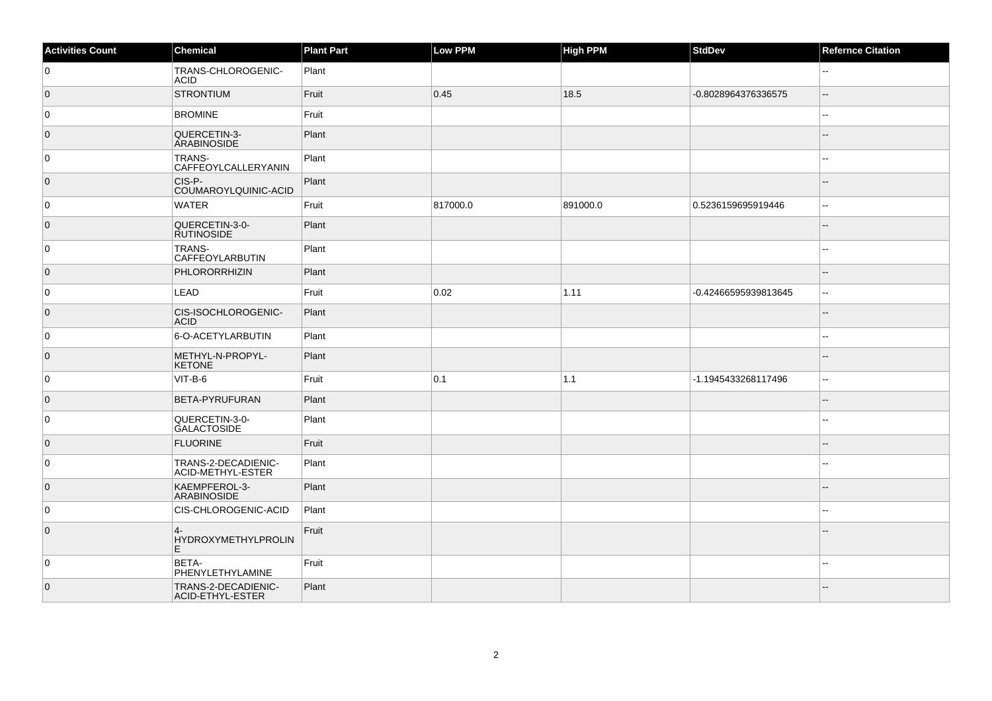| <b>Activities Count</b> | Chemical                                   | <b>Plant Part</b> | Low PPM  | High PPM | <b>StdDev</b>        | <b>Refernce Citation</b> |
|-------------------------|--------------------------------------------|-------------------|----------|----------|----------------------|--------------------------|
| 0                       | TRANS-CHLOROGENIC-<br><b>ACID</b>          | Plant             |          |          |                      | $\sim$                   |
| $\overline{0}$          | <b>STRONTIUM</b>                           | Fruit             | 0.45     | 18.5     | -0.8028964376336575  | Ξ.                       |
| 0                       | <b>BROMINE</b>                             | Fruit             |          |          |                      |                          |
| $\overline{0}$          | QUERCETIN-3-<br><b>ARABINOSIDE</b>         | Plant             |          |          |                      | $-$                      |
| $\mathbf 0$             | <b>TRANS-</b><br>CAFFEOYLCALLERYANIN       | Plant             |          |          |                      | $\sim$                   |
| $\overline{0}$          | CIS-P-<br>COUMAROYLQUINIC-ACID             | Plant             |          |          |                      | $-$                      |
| 0                       | <b>WATER</b>                               | Fruit             | 817000.0 | 891000.0 | 0.5236159695919446   | $\overline{\phantom{a}}$ |
| $\overline{0}$          | QUERCETIN-3-0-<br><b>RUTINOSIDE</b>        | Plant             |          |          |                      | $-$                      |
| 0                       | <b>TRANS-</b><br>CAFFEOYLARBUTIN           | Plant             |          |          |                      | $\sim$                   |
| $\overline{0}$          | PHLORORRHIZIN                              | Plant             |          |          |                      |                          |
| 0                       | LEAD                                       | Fruit             | 0.02     | 1.11     | -0.42466595939813645 | $\overline{\phantom{a}}$ |
| $\overline{0}$          | CIS-ISOCHLOROGENIC-<br><b>ACID</b>         | Plant             |          |          |                      | --                       |
| 0                       | 6-O-ACETYLARBUTIN                          | Plant             |          |          |                      | $-$                      |
| $\overline{0}$          | METHYL-N-PROPYL-<br><b>KETONE</b>          | Plant             |          |          |                      |                          |
| 0                       | VIT-B-6                                    | Fruit             | 0.1      | 1.1      | -1.1945433268117496  | $\overline{\phantom{a}}$ |
| $\overline{0}$          | <b>BETA-PYRUFURAN</b>                      | Plant             |          |          |                      | $\sim$                   |
| 0                       | QUERCETIN-3-0-<br><b>GALACTOSIDE</b>       | Plant             |          |          |                      | $\sim$                   |
| $\overline{0}$          | <b>FLUORINE</b>                            | Fruit             |          |          |                      |                          |
| 0                       | TRANS-2-DECADIENIC-<br>ACID-METHYL-ESTER   | Plant             |          |          |                      | $-$                      |
| $\overline{0}$          | KAEMPFEROL-3-<br>ARABINOSIDE               | Plant             |          |          |                      |                          |
| 0                       | CIS-CHLOROGENIC-ACID                       | Plant             |          |          |                      |                          |
| $\overline{0}$          | $\overline{4}$<br>HYDROXYMETHYLPROLIN<br>E | Fruit             |          |          |                      |                          |
| 0                       | BETA-<br>PHENYLETHYLAMINE                  | Fruit             |          |          |                      |                          |
| $\overline{0}$          | TRANS-2-DECADIENIC-<br>ACID-ETHYL-ESTER    | Plant             |          |          |                      | $-$                      |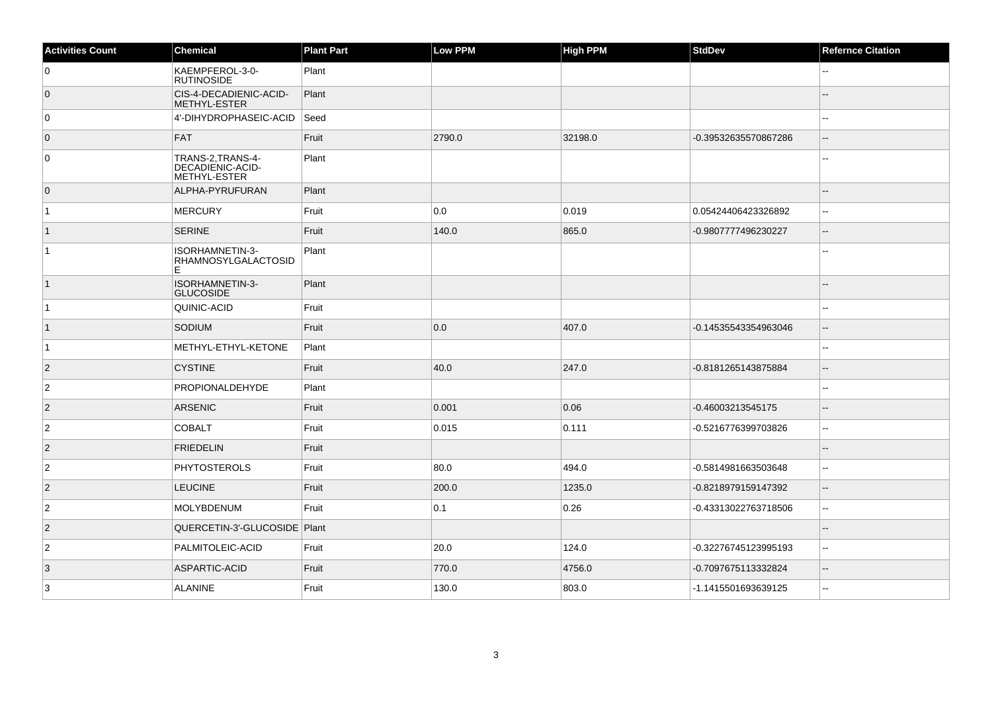| <b>Activities Count</b> | Chemical                                              | <b>Plant Part</b> | <b>Low PPM</b> | <b>High PPM</b> | <b>StdDev</b>        | <b>Refernce Citation</b> |
|-------------------------|-------------------------------------------------------|-------------------|----------------|-----------------|----------------------|--------------------------|
| $\overline{0}$          | KAEMPFEROL-3-0-<br><b>RUTINOSIDE</b>                  | Plant             |                |                 |                      |                          |
| $\overline{0}$          | CIS-4-DECADIENIC-ACID-<br>METHYL-ESTER                | Plant             |                |                 |                      |                          |
| $\overline{0}$          | 4'-DIHYDROPHASEIC-ACID                                | Seed              |                |                 |                      |                          |
| $\overline{0}$          | <b>FAT</b>                                            | Fruit             | 2790.0         | 32198.0         | -0.39532635570867286 |                          |
| 0                       | TRANS-2, TRANS-4-<br>DECADIENIC-ACID-<br>METHYL-ESTER | Plant             |                |                 |                      |                          |
| $\overline{0}$          | ALPHA-PYRUFURAN                                       | Plant             |                |                 |                      |                          |
| $\overline{1}$          | MERCURY                                               | Fruit             | 0.0            | 0.019           | 0.05424406423326892  | $\overline{a}$           |
| $\overline{1}$          | <b>SERINE</b>                                         | Fruit             | 140.0          | 865.0           | -0.9807777496230227  | $\overline{a}$           |
| $\overline{1}$          | ISORHAMNETIN-3-<br>RHAMNOSYLGALACTOSID<br>E           | Plant             |                |                 |                      |                          |
| $\vert$ 1               | ISORHAMNETIN-3-<br><b>GLUCOSIDE</b>                   | Plant             |                |                 |                      | $\mathbf{L}$             |
| $\overline{1}$          | QUINIC-ACID                                           | Fruit             |                |                 |                      | $\sim$                   |
| $\overline{1}$          | SODIUM                                                | Fruit             | 0.0            | 407.0           | -0.14535543354963046 | $\overline{\phantom{a}}$ |
| $\overline{1}$          | METHYL-ETHYL-KETONE                                   | Plant             |                |                 |                      | $\overline{\phantom{a}}$ |
| $\overline{2}$          | <b>CYSTINE</b>                                        | Fruit             | 40.0           | 247.0           | -0.8181265143875884  | $\overline{\phantom{a}}$ |
| $\overline{\mathbf{c}}$ | PROPIONALDEHYDE                                       | Plant             |                |                 |                      | $\mathbf{u}$             |
| $ 2\rangle$             | <b>ARSENIC</b>                                        | Fruit             | 0.001          | 0.06            | -0.46003213545175    | $\overline{a}$           |
| $\overline{c}$          | <b>COBALT</b>                                         | Fruit             | 0.015          | 0.111           | -0.5216776399703826  | $\sim$                   |
| 2                       | <b>FRIEDELIN</b>                                      | Fruit             |                |                 |                      | $\sim$                   |
| $\overline{c}$          | PHYTOSTEROLS                                          | Fruit             | 80.0           | 494.0           | -0.5814981663503648  | $\sim$                   |
| $\overline{2}$          | <b>LEUCINE</b>                                        | Fruit             | 200.0          | 1235.0          | -0.8218979159147392  | $\overline{\phantom{a}}$ |
| $\overline{c}$          | MOLYBDENUM                                            | Fruit             | 0.1            | 0.26            | -0.43313022763718506 | $\sim$ $\sim$            |
| $ 2\rangle$             | QUERCETIN-3'-GLUCOSIDE   Plant                        |                   |                |                 |                      | $\sim$                   |
| $\overline{2}$          | PALMITOLEIC-ACID                                      | Fruit             | 20.0           | 124.0           | -0.32276745123995193 | $\sim$                   |
| 3                       | ASPARTIC-ACID                                         | Fruit             | 770.0          | 4756.0          | -0.7097675113332824  | $\overline{\phantom{a}}$ |
| $\mathbf{3}$            | <b>ALANINE</b>                                        | Fruit             | 130.0          | 803.0           | -1.1415501693639125  | $\overline{a}$           |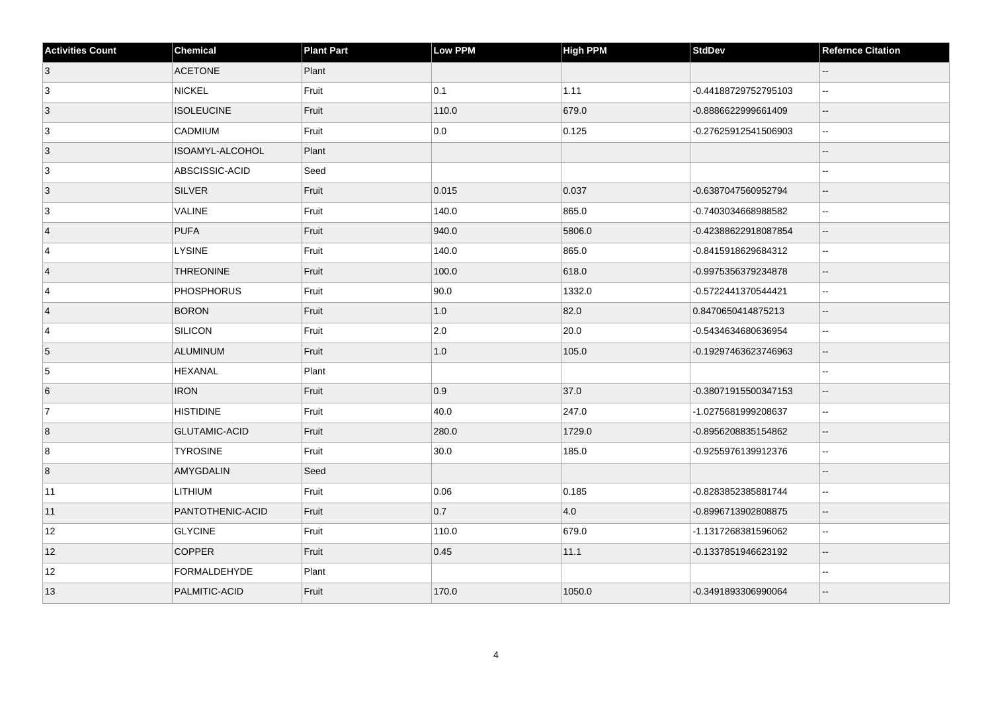| <b>Activities Count</b> | <b>Chemical</b>      | <b>Plant Part</b> | <b>Low PPM</b> | High PPM | <b>StdDev</b>        | <b>Refernce Citation</b> |
|-------------------------|----------------------|-------------------|----------------|----------|----------------------|--------------------------|
| 3                       | <b>ACETONE</b>       | Plant             |                |          |                      |                          |
| 3                       | NICKEL               | Fruit             | 0.1            | 1.11     | -0.44188729752795103 | $\ddotsc$                |
| $\overline{3}$          | <b>ISOLEUCINE</b>    | Fruit             | 110.0          | 679.0    | -0.8886622999661409  | $\overline{\phantom{a}}$ |
| 3                       | CADMIUM              | Fruit             | 0.0            | 0.125    | -0.27625912541506903 | $\sim$                   |
| 3                       | ISOAMYL-ALCOHOL      | Plant             |                |          |                      | $\overline{a}$           |
| $\overline{3}$          | ABSCISSIC-ACID       | Seed              |                |          |                      | $-$                      |
| $\vert 3 \vert$         | SILVER               | Fruit             | 0.015          | 0.037    | -0.6387047560952794  | $\overline{\phantom{a}}$ |
| 3                       | <b>VALINE</b>        | Fruit             | 140.0          | 865.0    | -0.7403034668988582  | $\sim$                   |
| $\vert$ 4               | PUFA                 | Fruit             | 940.0          | 5806.0   | -0.42388622918087854 | $\overline{\phantom{a}}$ |
| $\overline{4}$          | <b>LYSINE</b>        | Fruit             | 140.0          | 865.0    | -0.8415918629684312  | $\sim$                   |
| $\overline{4}$          | <b>THREONINE</b>     | Fruit             | 100.0          | 618.0    | -0.9975356379234878  | $\sim$                   |
| 4                       | <b>PHOSPHORUS</b>    | Fruit             | 90.0           | 1332.0   | -0.5722441370544421  | $\mathbf{u}$             |
| $\overline{4}$          | <b>BORON</b>         | Fruit             | 1.0            | 82.0     | 0.8470650414875213   | $\sim$                   |
| $\overline{4}$          | SILICON              | Fruit             | 2.0            | 20.0     | -0.5434634680636954  | $\sim$                   |
| 5                       | ALUMINUM             | Fruit             | $1.0\,$        | 105.0    | -0.19297463623746963 | $\overline{\phantom{a}}$ |
| 5                       | <b>HEXANAL</b>       | Plant             |                |          |                      | ä.                       |
| 6                       | <b>IRON</b>          | Fruit             | 0.9            | 37.0     | -0.38071915500347153 | $\overline{\phantom{a}}$ |
| 7                       | <b>HISTIDINE</b>     | Fruit             | 40.0           | 247.0    | -1.0275681999208637  | $\sim$                   |
| 8                       | <b>GLUTAMIC-ACID</b> | Fruit             | 280.0          | 1729.0   | -0.8956208835154862  | $\overline{\phantom{a}}$ |
| 8                       | <b>TYROSINE</b>      | Fruit             | 30.0           | 185.0    | -0.9255976139912376  | $\ddotsc$                |
| 8                       | AMYGDALIN            | Seed              |                |          |                      | $\sim$                   |
| 11                      | <b>LITHIUM</b>       | Fruit             | 0.06           | 0.185    | -0.8283852385881744  | $\sim$                   |
| 11                      | PANTOTHENIC-ACID     | Fruit             | 0.7            | 4.0      | -0.8996713902808875  | $\overline{\phantom{a}}$ |
| 12                      | <b>GLYCINE</b>       | Fruit             | 110.0          | 679.0    | -1.1317268381596062  | $\sim$                   |
| 12                      | <b>COPPER</b>        | Fruit             | 0.45           | 11.1     | -0.1337851946623192  | $\overline{\phantom{a}}$ |
| 12                      | FORMALDEHYDE         | Plant             |                |          |                      | $\sim$                   |
| 13                      | PALMITIC-ACID        | Fruit             | 170.0          | 1050.0   | -0.3491893306990064  |                          |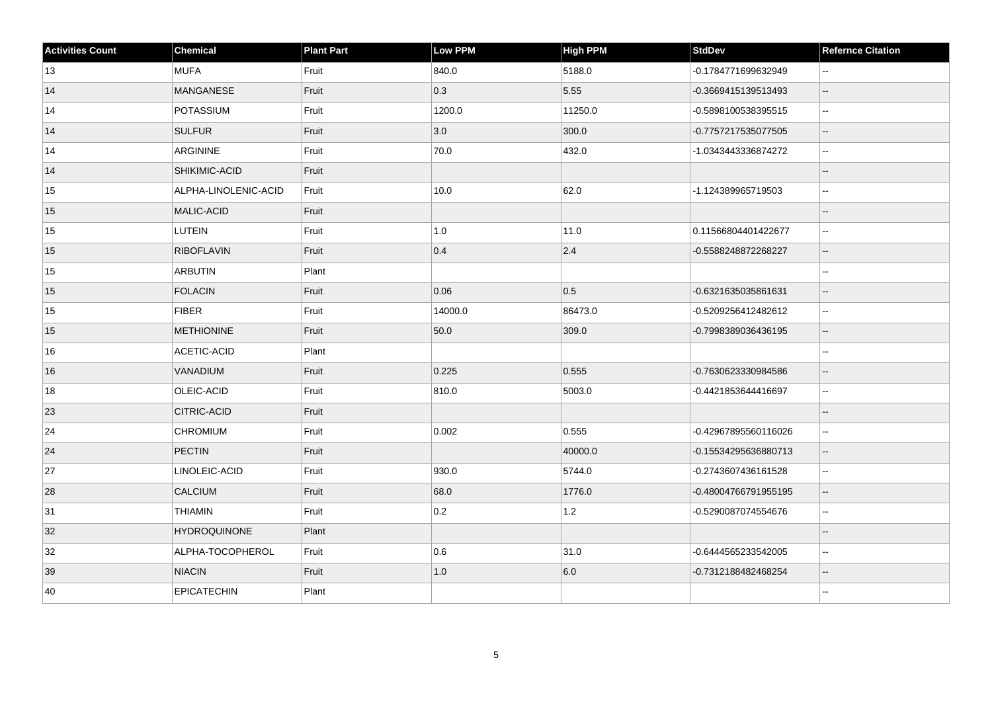| <b>Activities Count</b> | <b>Chemical</b>      | <b>Plant Part</b> | <b>Low PPM</b> | <b>High PPM</b> | <b>StdDev</b>        | <b>Refernce Citation</b> |
|-------------------------|----------------------|-------------------|----------------|-----------------|----------------------|--------------------------|
| 13                      | <b>MUFA</b>          | Fruit             | 840.0          | 5188.0          | -0.1784771699632949  | $\sim$ $\sim$            |
| 14                      | <b>MANGANESE</b>     | Fruit             | 0.3            | 5.55            | -0.3669415139513493  | $\overline{\phantom{a}}$ |
| 14                      | POTASSIUM            | Fruit             | 1200.0         | 11250.0         | -0.5898100538395515  | $\ddotsc$                |
| 14                      | <b>SULFUR</b>        | Fruit             | 3.0            | 300.0           | -0.7757217535077505  | $\overline{\phantom{a}}$ |
| 14                      | <b>ARGININE</b>      | Fruit             | 70.0           | 432.0           | -1.0343443336874272  | $\ddotsc$                |
| 14                      | SHIKIMIC-ACID        | Fruit             |                |                 |                      | $\overline{\phantom{a}}$ |
| 15                      | ALPHA-LINOLENIC-ACID | Fruit             | 10.0           | 62.0            | -1.124389965719503   | $\sim$ $\sim$            |
| 15                      | MALIC-ACID           | Fruit             |                |                 |                      |                          |
| 15                      | LUTEIN               | Fruit             | 1.0            | 11.0            | 0.11566804401422677  | $\mathbf{L}$             |
| 15                      | <b>RIBOFLAVIN</b>    | Fruit             | 0.4            | 2.4             | -0.5588248872268227  | $\overline{\phantom{a}}$ |
| 15                      | <b>ARBUTIN</b>       | Plant             |                |                 |                      | $\sim$                   |
| 15                      | <b>FOLACIN</b>       | Fruit             | 0.06           | 0.5             | -0.6321635035861631  | $\overline{\phantom{a}}$ |
| 15                      | <b>FIBER</b>         | Fruit             | 14000.0        | 86473.0         | -0.5209256412482612  | $-$                      |
| 15                      | <b>METHIONINE</b>    | Fruit             | 50.0           | 309.0           | -0.7998389036436195  | $\overline{\phantom{a}}$ |
| $16\,$                  | ACETIC-ACID          | Plant             |                |                 |                      | $\ddotsc$                |
| 16                      | VANADIUM             | Fruit             | 0.225          | 0.555           | -0.7630623330984586  | $\overline{\phantom{a}}$ |
| 18                      | OLEIC-ACID           | Fruit             | 810.0          | 5003.0          | -0.4421853644416697  | $\ddotsc$                |
| 23                      | <b>CITRIC-ACID</b>   | Fruit             |                |                 |                      | $\overline{\phantom{a}}$ |
| 24                      | <b>CHROMIUM</b>      | Fruit             | 0.002          | 0.555           | -0.42967895560116026 | $\sim$ $\sim$            |
| 24                      | PECTIN               | Fruit             |                | 40000.0         | -0.15534295636880713 | $\mathbf{u}$             |
| 27                      | LINOLEIC-ACID        | Fruit             | 930.0          | 5744.0          | -0.2743607436161528  | $\sim$                   |
| 28                      | CALCIUM              | Fruit             | 68.0           | 1776.0          | -0.48004766791955195 | $\sim$                   |
| 31                      | <b>THIAMIN</b>       | Fruit             | 0.2            | 1.2             | -0.5290087074554676  | $\ddotsc$                |
| 32                      | <b>HYDROQUINONE</b>  | Plant             |                |                 |                      | $\overline{\phantom{a}}$ |
| 32                      | ALPHA-TOCOPHEROL     | Fruit             | 0.6            | 31.0            | -0.6444565233542005  | $\sim$ $\sim$            |
| 39                      | <b>NIACIN</b>        | Fruit             | $1.0\,$        | 6.0             | -0.7312188482468254  | $\overline{\phantom{a}}$ |
| 40                      | <b>EPICATECHIN</b>   | Plant             |                |                 |                      |                          |